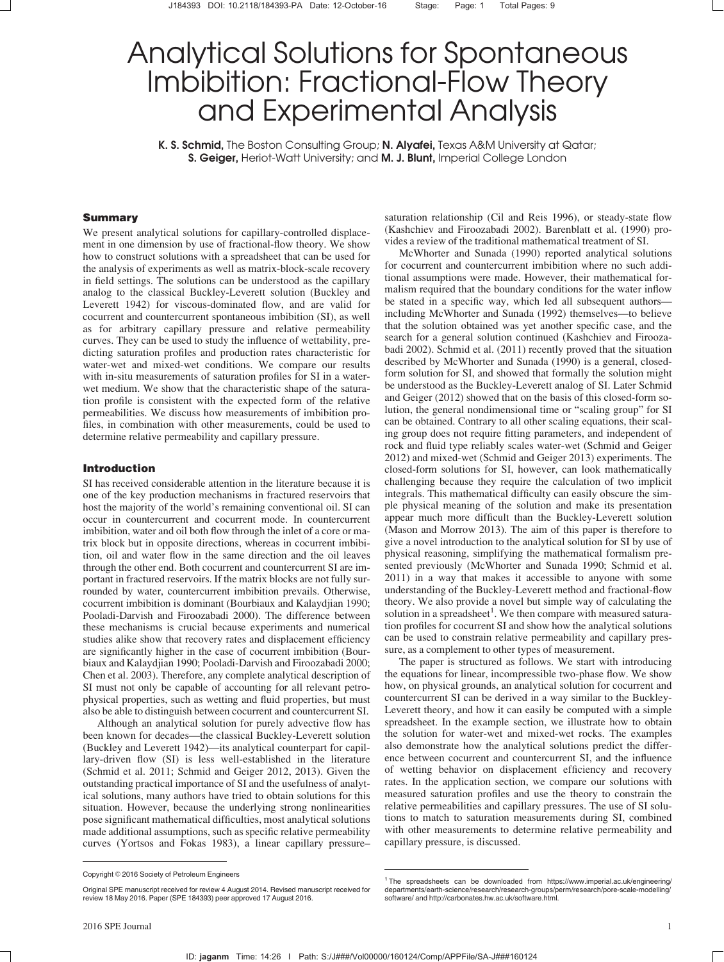# Analytical Solutions for Spontaneous Imbibition: Fractional-Flow Theory and Experimental Analysis

K. S. Schmid, The Boston Consulting Group; N. Alyafei, Texas A&M University at Qatar; S. Geiger, Heriot-Watt University; and M. J. Blunt, Imperial College London

## Summary

We present analytical solutions for capillary-controlled displacement in one dimension by use of fractional-flow theory. We show how to construct solutions with a spreadsheet that can be used for the analysis of experiments as well as matrix-block-scale recovery in field settings. The solutions can be understood as the capillary analog to the classical Buckley-Leverett solution (Buckley and Leverett 1942) for viscous-dominated flow, and are valid for cocurrent and countercurrent spontaneous imbibition (SI), as well as for arbitrary capillary pressure and relative permeability curves. They can be used to study the influence of wettability, predicting saturation profiles and production rates characteristic for water-wet and mixed-wet conditions. We compare our results with in-situ measurements of saturation profiles for SI in a waterwet medium. We show that the characteristic shape of the saturation profile is consistent with the expected form of the relative permeabilities. We discuss how measurements of imbibition profiles, in combination with other measurements, could be used to determine relative permeability and capillary pressure.

#### Introduction

SI has received considerable attention in the literature because it is one of the key production mechanisms in fractured reservoirs that host the majority of the world's remaining conventional oil. SI can occur in countercurrent and cocurrent mode. In countercurrent imbibition, water and oil both flow through the inlet of a core or matrix block but in opposite directions, whereas in cocurrent imbibition, oil and water flow in the same direction and the oil leaves through the other end. Both cocurrent and countercurrent SI are important in fractured reservoirs. If the matrix blocks are not fully surrounded by water, countercurrent imbibition prevails. Otherwise, cocurrent imbibition is dominant (Bourbiaux and Kalaydjian 1990; Pooladi-Darvish and Firoozabadi 2000). The difference between these mechanisms is crucial because experiments and numerical studies alike show that recovery rates and displacement efficiency are significantly higher in the case of cocurrent imbibition (Bourbiaux and Kalaydjian 1990; Pooladi-Darvish and Firoozabadi 2000; Chen et al. 2003). Therefore, any complete analytical description of SI must not only be capable of accounting for all relevant petrophysical properties, such as wetting and fluid properties, but must also be able to distinguish between cocurrent and countercurrent SI.

Although an analytical solution for purely advective flow has been known for decades—the classical Buckley-Leverett solution (Buckley and Leverett 1942)—its analytical counterpart for capillary-driven flow (SI) is less well-established in the literature (Schmid et al. 2011; Schmid and Geiger 2012, 2013). Given the outstanding practical importance of SI and the usefulness of analytical solutions, many authors have tried to obtain solutions for this situation. However, because the underlying strong nonlinearities pose significant mathematical difficulties, most analytical solutions made additional assumptions, such as specific relative permeability curves (Yortsos and Fokas 1983), a linear capillary pressure–

saturation relationship (Cil and Reis 1996), or steady-state flow (Kashchiev and Firoozabadi 2002). Barenblatt et al. (1990) provides a review of the traditional mathematical treatment of SI.

McWhorter and Sunada (1990) reported analytical solutions for cocurrent and countercurrent imbibition where no such additional assumptions were made. However, their mathematical formalism required that the boundary conditions for the water inflow be stated in a specific way, which led all subsequent authors including McWhorter and Sunada (1992) themselves—to believe that the solution obtained was yet another specific case, and the search for a general solution continued (Kashchiev and Firoozabadi 2002). Schmid et al. (2011) recently proved that the situation described by McWhorter and Sunada (1990) is a general, closedform solution for SI, and showed that formally the solution might be understood as the Buckley-Leverett analog of SI. Later Schmid and Geiger (2012) showed that on the basis of this closed-form solution, the general nondimensional time or "scaling group" for SI can be obtained. Contrary to all other scaling equations, their scaling group does not require fitting parameters, and independent of rock and fluid type reliably scales water-wet (Schmid and Geiger 2012) and mixed-wet (Schmid and Geiger 2013) experiments. The closed-form solutions for SI, however, can look mathematically challenging because they require the calculation of two implicit integrals. This mathematical difficulty can easily obscure the simple physical meaning of the solution and make its presentation appear much more difficult than the Buckley-Leverett solution (Mason and Morrow 2013). The aim of this paper is therefore to give a novel introduction to the analytical solution for SI by use of physical reasoning, simplifying the mathematical formalism presented previously (McWhorter and Sunada 1990; Schmid et al. 2011) in a way that makes it accessible to anyone with some understanding of the Buckley-Leverett method and fractional-flow theory. We also provide a novel but simple way of calculating the solution in a spreadsheet<sup>1</sup>. We then compare with measured saturation profiles for cocurrent SI and show how the analytical solutions can be used to constrain relative permeability and capillary pressure, as a complement to other types of measurement.

The paper is structured as follows. We start with introducing the equations for linear, incompressible two-phase flow. We show how, on physical grounds, an analytical solution for cocurrent and countercurrent SI can be derived in a way similar to the Buckley-Leverett theory, and how it can easily be computed with a simple spreadsheet. In the example section, we illustrate how to obtain the solution for water-wet and mixed-wet rocks. The examples also demonstrate how the analytical solutions predict the difference between cocurrent and countercurrent SI, and the influence of wetting behavior on displacement efficiency and recovery rates. In the application section, we compare our solutions with measured saturation profiles and use the theory to constrain the relative permeabilities and capillary pressures. The use of SI solutions to match to saturation measurements during SI, combined with other measurements to determine relative permeability and capillary pressure, is discussed.

Copyright © 2016 Society of Petroleum Engineers

Original SPE manuscript received for review 4 August 2014. Revised manuscript received for review 18 May 2016. Paper (SPE 184393) peer approved 17 August 2016.

<sup>&</sup>lt;sup>1</sup>The spreadsheets can be downloaded from https://www.imperial.ac.uk/engineering/ departments/earth-science/research/research-groups/perm/research/pore-scale-modelling/ software/ and http://carbonates.hw.ac.uk/software.html.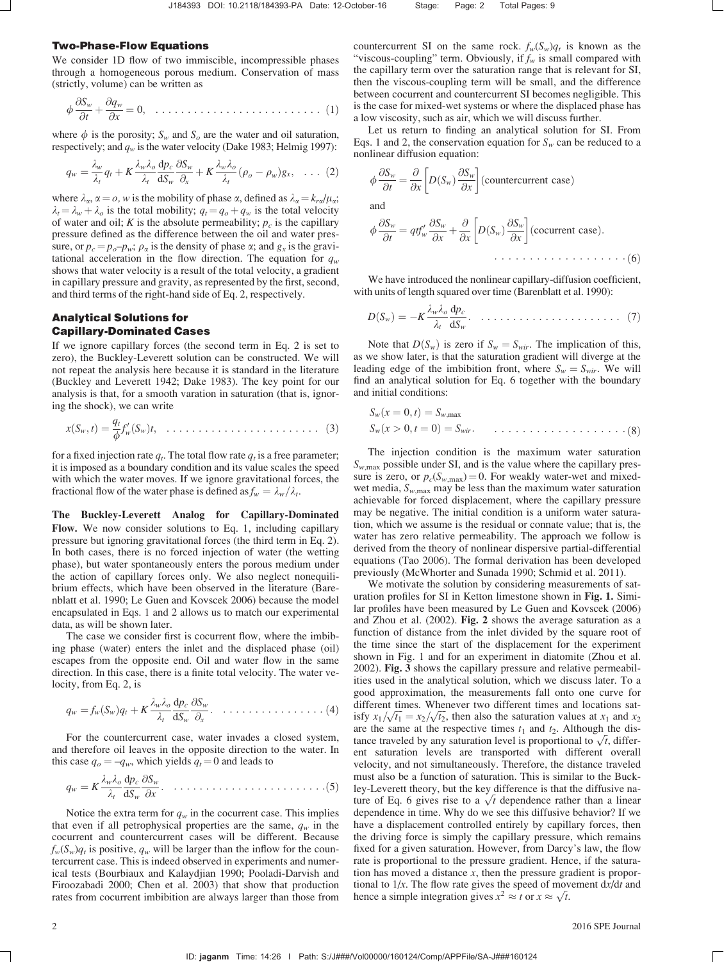#### Two-Phase-Flow Equations

We consider 1D flow of two immiscible, incompressible phases through a homogeneous porous medium. Conservation of mass (strictly, volume) can be written as

$$
\phi \frac{\partial S_w}{\partial t} + \frac{\partial q_w}{\partial x} = 0, \quad \dots \dots \dots \dots \dots \dots \dots \dots \dots \dots \dots \tag{1}
$$

where  $\phi$  is the porosity;  $S_w$  and  $S_o$  are the water and oil saturation, respectively; and  $q_w$  is the water velocity (Dake 1983; Helmig 1997):

$$
q_w = \frac{\lambda_w}{\lambda_t} q_t + K \frac{\lambda_w \lambda_o}{\lambda_t} \frac{dp_c}{dS_w} \frac{\partial S_w}{\partial_x} + K \frac{\lambda_w \lambda_o}{\lambda_t} (\rho_o - \rho_w) g_x, \quad \dots \tag{2}
$$

where  $\lambda_{\alpha}$ ,  $\alpha = o$ , w is the mobility of phase  $\alpha$ , defined as  $\lambda_{\alpha} = k_{r\alpha}/\mu_{\alpha}$ ;  $\lambda_t = \lambda_w + \lambda_o$  is the total mobility;  $q_t = q_o + q_w$  is the total velocity of water and oil; K is the absolute permeability;  $p_c$  is the capillary pressure defined as the difference between the oil and water pressure, or  $p_c = p_o - p_w$ ;  $\rho_\alpha$  is the density of phase  $\alpha$ ; and  $g_x$  is the gravitational acceleration in the flow direction. The equation for  $q_w$ shows that water velocity is a result of the total velocity, a gradient in capillary pressure and gravity, as represented by the first, second, and third terms of the right-hand side of Eq. 2, respectively.

# Analytical Solutions for Capillary-Dominated Cases

If we ignore capillary forces (the second term in Eq. 2 is set to zero), the Buckley-Leverett solution can be constructed. We will not repeat the analysis here because it is standard in the literature (Buckley and Leverett 1942; Dake 1983). The key point for our analysis is that, for a smooth varation in saturation (that is, ignoring the shock), we can write

$$
x(S_w,t) = \frac{q_t}{\phi} f'_w(S_w)t, \quad \dots \quad \dots \quad \dots \quad \dots \quad \dots \quad (3)
$$

for a fixed injection rate  $q_t$ . The total flow rate  $q_t$  is a free parameter; it is imposed as a boundary condition and its value scales the speed with which the water moves. If we ignore gravitational forces, the fractional flow of the water phase is defined as  $f_w = \lambda_w / \lambda_t$ .

The Buckley-Leverett Analog for Capillary-Dominated Flow. We now consider solutions to Eq. 1, including capillary pressure but ignoring gravitational forces (the third term in Eq. 2). In both cases, there is no forced injection of water (the wetting phase), but water spontaneously enters the porous medium under the action of capillary forces only. We also neglect nonequilibrium effects, which have been observed in the literature (Barenblatt et al. 1990; Le Guen and Kovscek 2006) because the model encapsulated in Eqs. 1 and 2 allows us to match our experimental data, as will be shown later.

The case we consider first is cocurrent flow, where the imbibing phase (water) enters the inlet and the displaced phase (oil) escapes from the opposite end. Oil and water flow in the same direction. In this case, there is a finite total velocity. The water velocity, from Eq. 2, is

$$
q_w = f_w(S_w)q_t + K \frac{\lambda_w \lambda_o}{\lambda_t} \frac{dp_c}{dS_w} \frac{\partial S_w}{\partial x} \dots \dots \dots \dots \dots \dots \dots \tag{4}
$$

For the countercurrent case, water invades a closed system, and therefore oil leaves in the opposite direction to the water. In this case  $q_o = -q_w$ , which yields  $q_t = 0$  and leads to

$$
q_w = K \frac{\lambda_w \lambda_o}{\lambda_t} \frac{\mathrm{d}p_c}{\mathrm{d}S_w} \frac{\partial S_w}{\partial x} . \quad \ldots \ldots \ldots \ldots \ldots \ldots \ldots \ldots \ldots \ldots \ldots (5)
$$

Notice the extra term for  $q_w$  in the cocurrent case. This implies that even if all petrophysical properties are the same,  $q_w$  in the cocurrent and countercurrent cases will be different. Because  $f_w(S_w)q_t$  is positive,  $q_w$  will be larger than the inflow for the countercurrent case. This is indeed observed in experiments and numerical tests (Bourbiaux and Kalaydjian 1990; Pooladi-Darvish and Firoozabadi 2000; Chen et al. 2003) that show that production rates from cocurrent imbibition are always larger than those from

countercurrent SI on the same rock.  $f_w(S_w)q_t$  is known as the "viscous-coupling" term. Obviously, if  $f_w$  is small compared with the capillary term over the saturation range that is relevant for SI, then the viscous-coupling term will be small, and the difference between cocurrent and countercurrent SI becomes negligible. This is the case for mixed-wet systems or where the displaced phase has a low viscosity, such as air, which we will discuss further.

Let us return to finding an analytical solution for SI. From Eqs. 1 and 2, the conservation equation for  $S_w$  can be reduced to a nonlinear diffusion equation:

$$
\phi \frac{\partial S_w}{\partial t} = \frac{\partial}{\partial x} \left[ D(S_w) \frac{\partial S_w}{\partial x} \right]
$$
 (countercurrent case)

and

$$
\phi \frac{\partial S_w}{\partial t} = q t f'_w \frac{\partial S_w}{\partial x} + \frac{\partial}{\partial x} \left[ D(S_w) \frac{\partial S_w}{\partial x} \right] \text{(cocurrent case)}.
$$
\n(6)

We have introduced the nonlinear capillary-diffusion coefficient, with units of length squared over time (Barenblatt et al. 1990):

$$
D(S_w) = -K \frac{\lambda_w \lambda_o}{\lambda_t} \frac{dp_c}{dS_w} \qquad \qquad \ldots \qquad \ldots \qquad (7)
$$

Note that  $D(S_w)$  is zero if  $S_w = S_{wir}$ . The implication of this, as we show later, is that the saturation gradient will diverge at the leading edge of the imbibition front, where  $S_w = S_{wir}$ . We will find an analytical solution for Eq. 6 together with the boundary and initial conditions:

Swðx ¼ 0; tÞ ¼ Sw;max Swðx > 0; t ¼ 0Þ ¼ Swir: ð8Þ

The injection condition is the maximum water saturation  $S_{w, max}$  possible under SI, and is the value where the capillary pressure is zero, or  $p_c(S_{w,\text{max}}) = 0$ . For weakly water-wet and mixedwet media,  $S_{w, max}$  may be less than the maximum water saturation achievable for forced displacement, where the capillary pressure may be negative. The initial condition is a uniform water saturation, which we assume is the residual or connate value; that is, the water has zero relative permeability. The approach we follow is derived from the theory of nonlinear dispersive partial-differential equations (Tao 2006). The formal derivation has been developed previously (McWhorter and Sunada 1990; Schmid et al. 2011).

We motivate the solution by considering measurements of saturation profiles for SI in Ketton limestone shown in Fig. 1. Similar profiles have been measured by Le Guen and Kovscek (2006) and Zhou et al. (2002). Fig. 2 shows the average saturation as a function of distance from the inlet divided by the square root of the time since the start of the displacement for the experiment shown in Fig. 1 and for an experiment in diatomite (Zhou et al. 2002). Fig. 3 shows the capillary pressure and relative permeabilities used in the analytical solution, which we discuss later. To a good approximation, the measurements fall onto one curve for different times. Whenever two different times and locations satunterent times. Whenever two different times and locations satisfy  $x_1/\sqrt{t_1} = x_2/\sqrt{t_2}$ , then also the saturation values at  $x_1$  and  $x_2$ are the same at the respective times  $t_1$  and  $t_2$ . Although the disare the same at the respective times  $t_1$  and  $t_2$ . Although the distance traveled by any saturation level is proportional to  $\sqrt{t}$ , different saturation levels are transported with different overall velocity, and not simultaneously. Therefore, the distance traveled must also be a function of saturation. This is similar to the Buckley-Leverett theory, but the key difference is that the diffusive natey-Leverett theory, but the key difference is that the diffusive nature of Eq. 6 gives rise to a  $\sqrt{t}$  dependence rather than a linear dependence in time. Why do we see this diffusive behavior? If we have a displacement controlled entirely by capillary forces, then the driving force is simply the capillary pressure, which remains fixed for a given saturation. However, from Darcy's law, the flow rate is proportional to the pressure gradient. Hence, if the saturation has moved a distance  $x$ , then the pressure gradient is proportional to  $1/x$ . The flow rate gives the speed of movement  $dx/dt$  and tional to  $1/x$ . The flow rate gives the speed of mov<br>hence a simple integration gives  $x^2 \approx t$  or  $x \approx \sqrt{t}$ .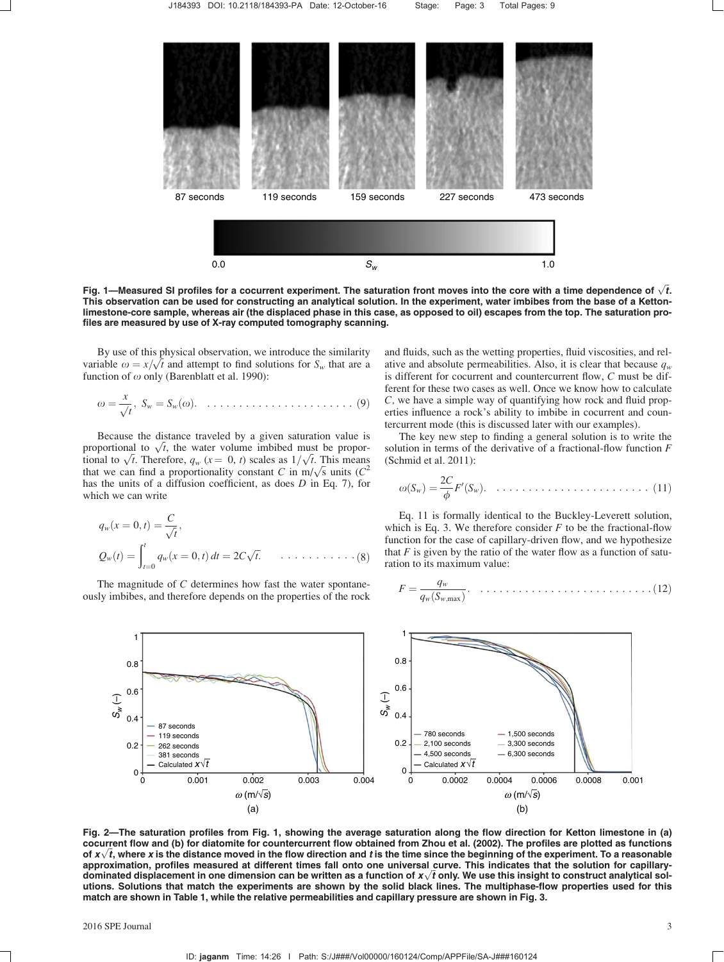

Fig. 1—Measured SI profiles for a cocurrent experiment. The saturation front moves into the core with a time dependence of  $\sqrt{t}.$ This observation can be used for constructing an analytical solution. In the experiment, water imbibes from the base of a Kettonlimestone-core sample, whereas air (the displaced phase in this case, as opposed to oil) escapes from the top. The saturation profiles are measured by use of X-ray computed tomography scanning.

By use of this physical observation, we introduce the similarity By use of this physical observation, we introduce the similarity variable  $\omega = x/\sqrt{t}$  and attempt to find solutions for  $S_w$  that are a function of  $\omega$  only (Barenblatt et al. 1990):

$$
\omega = \frac{x}{\sqrt{t}}, \ S_w = S_w(\omega). \quad \dots \quad \dots \quad \dots \quad \dots \quad \dots \quad (9)
$$

Because the distance traveled by a given saturation value is because the distance traveled by a given saturation value is<br>proportional to  $\sqrt{t}$ , the water volume imbibed must be proporproportional to  $\sqrt{t}$ , the water volume imbibed must be proportional to  $\sqrt{t}$ . Therefore,  $q_w$  ( $x = 0$ ,  $t$ ) scales as  $1/\sqrt{t}$ . This means that we can find a proportionality constant C in m/ $\sqrt{s}$  units (C<sup>2</sup>) has the units of a diffusion coefficient, as does D in Eq. 7), for which we can write

$$
q_w(x = 0, t) = \frac{C}{\sqrt{t}},
$$
  
\n
$$
Q_w(t) = \int_{t=0}^t q_w(x = 0, t) dt = 2C\sqrt{t}, \quad \dots \dots \dots \dots \dots (8)
$$

The magnitude of C determines how fast the water spontaneously imbibes, and therefore depends on the properties of the rock and fluids, such as the wetting properties, fluid viscosities, and relative and absolute permeabilities. Also, it is clear that because  $q_w$ is different for cocurrent and countercurrent flow, C must be different for these two cases as well. Once we know how to calculate C, we have a simple way of quantifying how rock and fluid properties influence a rock's ability to imbibe in cocurrent and countercurrent mode (this is discussed later with our examples).

The key new step to finding a general solution is to write the solution in terms of the derivative of a fractional-flow function  $F$ (Schmid et al. 2011):

$$
\omega(S_w) = \frac{2C}{\phi} F'(S_w). \quad \dots \quad \dots \quad \dots \quad \dots \quad \dots \quad (11)
$$

Eq. 11 is formally identical to the Buckley-Leverett solution, which is Eq. 3. We therefore consider  $F$  to be the fractional-flow function for the case of capillary-driven flow, and we hypothesize that  $F$  is given by the ratio of the water flow as a function of saturation to its maximum value:

$$
F = \frac{q_w}{q_w(S_{w,\text{max}})}.\quad \ldots \ldots \ldots \ldots \ldots \ldots \ldots \ldots \ldots \ldots (12)
$$



Fig. 2—The saturation profiles from Fig. 1, showing the average saturation along the flow direction for Ketton limestone in (a) cocurrent flow and (b) for diatomite for countercurrent flow obtained from Zhou et al. (2002). The profiles are plotted as functions cocurrent now and (b) for diatomite for countercurrent flow obtained from Znou et al. (2002). The profiles are plotted as functions<br>of  $x\sqrt{t}$ , where x is the distance moved in the flow direction and *t* is the time sinc approximation, profiles measured at different times fall onto one universal curve. This indicates that the solution for capillaryapproximation, profiles measured at different times fail onto one universal curve. This indicates that the solution for capillary-<br>dominated displacement in one dimension can be written as a function of x $\sqrt{t}$  only. We u utions. Solutions that match the experiments are shown by the solid black lines. The multiphase-flow properties used for this match are shown in Table 1, while the relative permeabilities and capillary pressure are shown in Fig. 3.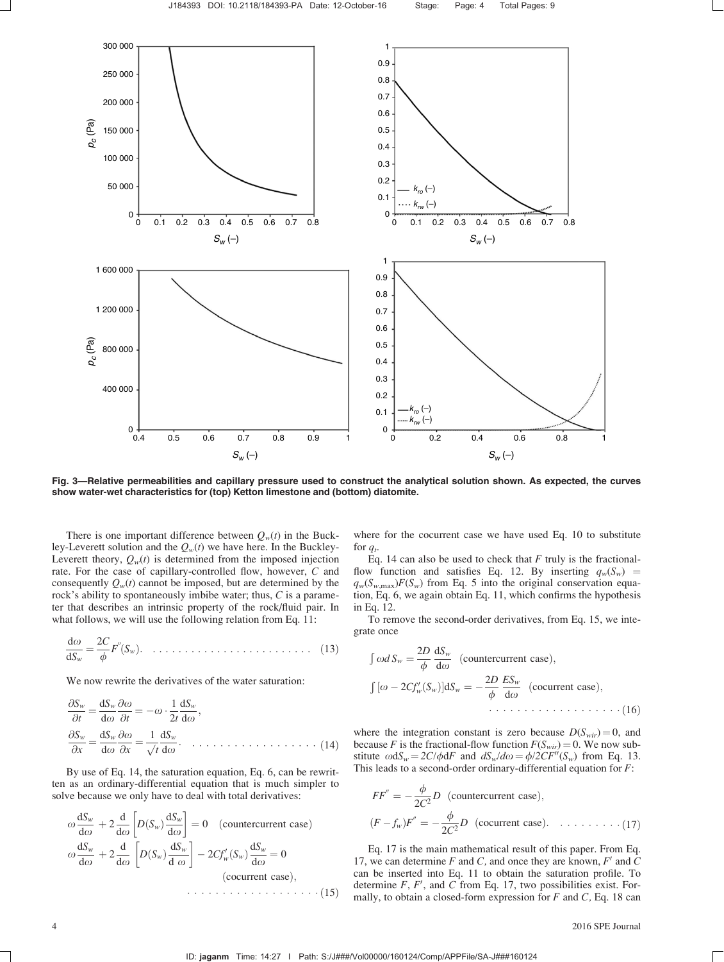

Fig. 3—Relative permeabilities and capillary pressure used to construct the analytical solution shown. As expected, the curves show water-wet characteristics for (top) Ketton limestone and (bottom) diatomite.

There is one important difference between  $Q_w(t)$  in the Buckley-Leverett solution and the  $Q_w(t)$  we have here. In the Buckley-Leverett theory,  $Q_w(t)$  is determined from the imposed injection rate. For the case of capillary-controlled flow, however, C and consequently  $Q_w(t)$  cannot be imposed, but are determined by the rock's ability to spontaneously imbibe water; thus, C is a parameter that describes an intrinsic property of the rock/fluid pair. In what follows, we will use the following relation from Eq. 11:

$$
\frac{\mathrm{d}\omega}{\mathrm{d}S_w} = \frac{2C}{\phi} F''(S_w). \quad \dots \quad \dots \quad \dots \quad \dots \quad \dots \quad \dots \quad (13)
$$

We now rewrite the derivatives of the water saturation:

$$
\frac{\partial S_w}{\partial t} = \frac{dS_w}{d\omega} \frac{\partial \omega}{\partial t} = -\omega \cdot \frac{1}{2t} \frac{dS_w}{d\omega},
$$
  

$$
\frac{\partial S_w}{\partial x} = \frac{dS_w}{d\omega} \frac{\partial \omega}{\partial x} = \frac{1}{\sqrt{t}} \frac{dS_w}{d\omega}.
$$
 (14)

By use of Eq. 14, the saturation equation, Eq. 6, can be rewritten as an ordinary-differential equation that is much simpler to solve because we only have to deal with total derivatives:

$$
\omega \frac{dS_w}{d\omega} + 2 \frac{d}{d\omega} \left[ D(S_w) \frac{dS_w}{d\omega} \right] = 0 \quad \text{(countercurrent case)}
$$
\n
$$
\omega \frac{dS_w}{d\omega} + 2 \frac{d}{d\omega} \left[ D(S_w) \frac{dS_w}{d\omega} \right] - 2C f'_w(S_w) \frac{dS_w}{d\omega} = 0
$$
\n(cocurrent case),\n(60.111)

where for the cocurrent case we have used Eq. 10 to substitute for  $q_t$ .

Eq. 14 can also be used to check that  $F$  truly is the fractionalflow function and satisfies Eq. 12. By inserting  $q_w(S_w)$  =  $q_w(S_{w,\text{max}})F(S_w)$  from Eq. 5 into the original conservation equation, Eq. 6, we again obtain Eq. 11, which confirms the hypothesis in Eq. 12.

To remove the second-order derivatives, from Eq. 15, we integrate once

$$
\int \omega dS_w = \frac{2D}{\phi} \frac{dS_w}{d\omega} \text{ (countercurrent case)},
$$
  

$$
\int [\omega - 2C f_w'(S_w)] dS_w = -\frac{2D}{\phi} \frac{ES_w}{d\omega} \text{ (cocurrent case)},
$$
  
... (16)

where the integration constant is zero because  $D(S_{\text{vir}}) = 0$ , and because F is the fractional-flow function  $F(S_{\text{wir}}) = 0$ . We now substitute  $\omega dS_w = 2C/\phi dF$  and  $dS_w/d\omega = \phi/2CF''(S_w)$  from Eq. 13. This leads to a second-order ordinary-differential equation for  $F$ :

$$
FF'' = -\frac{\phi}{2C^2}D \text{ (countercurrent case)},
$$
  

$$
(F - f_w)F'' = -\frac{\phi}{2C^2}D \text{ (cocurrent case)}. \dots \dots \dots \dots (17)
$$

Eq. 17 is the main mathematical result of this paper. From Eq. 17, we can determine  $F$  and  $C$ , and once they are known,  $F'$  and  $C$ can be inserted into Eq. 11 to obtain the saturation profile. To determine  $F$ ,  $F'$ , and  $C$  from Eq. 17, two possibilities exist. Formally, to obtain a closed-form expression for  $F$  and  $C$ , Eq. 18 can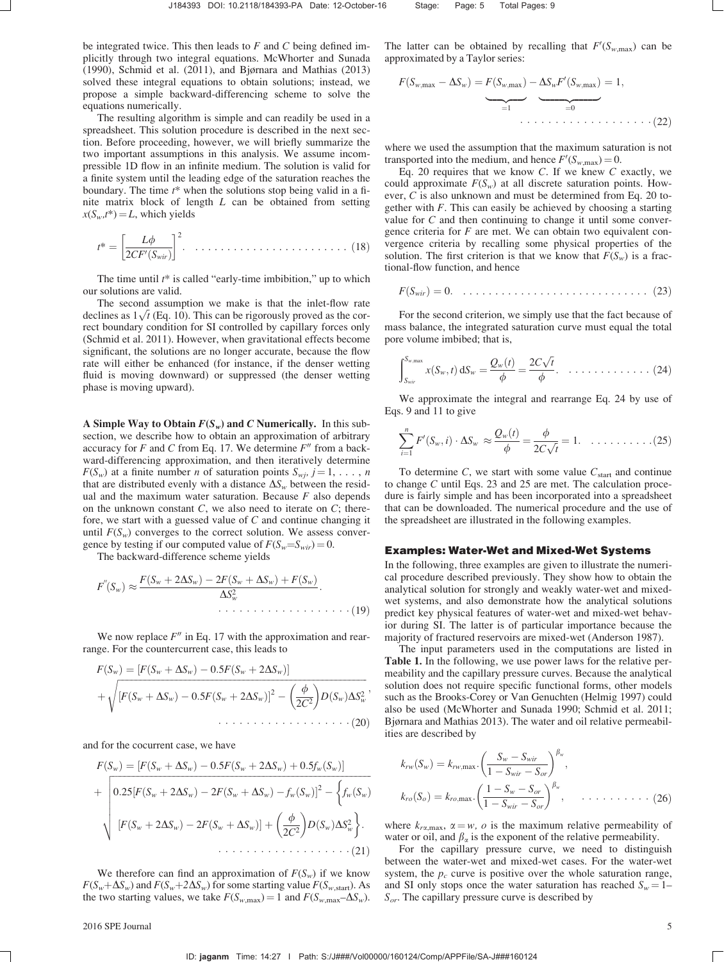be integrated twice. This then leads to  $F$  and  $C$  being defined implicitly through two integral equations. McWhorter and Sunada (1990), Schmid et al. (2011), and Bjørnara and Mathias (2013) solved these integral equations to obtain solutions; instead, we propose a simple backward-differencing scheme to solve the equations numerically.

The resulting algorithm is simple and can readily be used in a spreadsheet. This solution procedure is described in the next section. Before proceeding, however, we will briefly summarize the two important assumptions in this analysis. We assume incompressible 1D flow in an infinite medium. The solution is valid for a finite system until the leading edge of the saturation reaches the boundary. The time  $t^*$  when the solutions stop being valid in a finite matrix block of length L can be obtained from setting  $x(S_w,t^*)=L$ , which yields

$$
t^* = \left[\frac{L\phi}{2CF'(S_{\text{wir}})}\right]^2. \quad \dots \quad \dots \dots \dots \dots \dots \dots \dots \tag{18}
$$

The time until  $t^*$  is called "early-time imbibition," up to which our solutions are valid.

The second assumption we make is that the inlet-flow rate The second assumption we make is that the inter-low rate<br>declines as  $1\sqrt{t}$  (Eq. 10). This can be rigorously proved as the correct boundary condition for SI controlled by capillary forces only (Schmid et al. 2011). However, when gravitational effects become significant, the solutions are no longer accurate, because the flow rate will either be enhanced (for instance, if the denser wetting fluid is moving downward) or suppressed (the denser wetting phase is moving upward).

A Simple Way to Obtain  $F(S_w)$  and C Numerically. In this subsection, we describe how to obtain an approximation of arbitrary accuracy for F and C from Eq. 17. We determine  $F''$  from a backward-differencing approximation, and then iteratively determine  $F(S_w)$  at a finite number *n* of saturation points  $S_{wj}$ ,  $j = 1, \ldots, n$ that are distributed evenly with a distance  $\Delta S_w$  between the residual and the maximum water saturation. Because  $F$  also depends on the unknown constant  $C$ , we also need to iterate on  $C$ ; therefore, we start with a guessed value of C and continue changing it until  $F(S_w)$  converges to the correct solution. We assess convergence by testing if our computed value of  $F(S_w = S_{wir}) = 0$ .

The backward-difference scheme yields

$$
F''(S_w) \approx \frac{F(S_w + 2\Delta S_w) - 2F(S_w + \Delta S_w) + F(S_w)}{\Delta S_w^2}.
$$
\n
$$
\cdots \cdots \cdots \cdots \cdots \cdots (19)
$$

We now replace  $F''$  in Eq. 17 with the approximation and rearrange. For the countercurrent case, this leads to

$$
F(S_w) = [F(S_w + \Delta S_w) - 0.5F(S_w + 2\Delta S_w)]
$$
  
+  $\sqrt{[F(S_w + \Delta S_w) - 0.5F(S_w + 2\Delta S_w)]^2 - (\frac{\phi}{2C^2})D(S_w)\Delta S_w^2}$ , (20)

and for the cocurrent case, we have

$$
F(S_w) = [F(S_w + \Delta S_w) - 0.5F(S_w + 2\Delta S_w) + 0.5f_w(S_w)]
$$
  
+ 
$$
\left[0.25[F(S_w + 2\Delta S_w) - 2F(S_w + \Delta S_w) - f_w(S_w)]^2 - \left\{f_w(S_w) \right\} \right]
$$
  

$$
[F(S_w + 2\Delta S_w) - 2F(S_w + \Delta S_w)] + \left(\frac{\phi}{2C^2}\right)D(S_w)\Delta S_w^2\right\}.
$$
  
... (21)

We therefore can find an approximation of  $F(S_w)$  if we know  $F(S_w + \Delta S_w)$  and  $F(S_w + 2\Delta S_w)$  for some starting value  $F(S_w, \text{start})$ . As the two starting values, we take  $F(S_{w,\text{max}}) = 1$  and  $F(S_{w,\text{max}} - \Delta S_w)$ .

The latter can be obtained by recalling that  $F'(S_{w,\text{max}})$  can be approximated by a Taylor series:

$$
F(S_{w,\max} - \Delta S_w) = F(S_{w,\max}) - \underbrace{\Delta S_w F'(S_{w,\max})}_{=1} = 1,
$$
\n
$$
\underbrace{\Delta S_w F'(S_{w,\max})}_{=0} = 1,
$$
\n(22)

where we used the assumption that the maximum saturation is not transported into the medium, and hence  $F'(S_{w,\text{max}}) = 0$ .

Eq. 20 requires that we know  $C$ . If we knew  $C$  exactly, we could approximate  $F(S_w)$  at all discrete saturation points. However, C is also unknown and must be determined from Eq. 20 together with  $F$ . This can easily be achieved by choosing a starting value for  $C$  and then continuing to change it until some convergence criteria for  $F$  are met. We can obtain two equivalent convergence criteria by recalling some physical properties of the solution. The first criterion is that we know that  $F(S_w)$  is a fractional-flow function, and hence

$$
F(S_{\text{wir}}) = 0. \quad \dots \quad \dots \quad \dots \quad \dots \quad \dots \quad \dots \quad (23)
$$

For the second criterion, we simply use that the fact because of mass balance, the integrated saturation curve must equal the total pore volume imbibed; that is,

$$
\int_{S_{\text{wir}}}\n\int_{X(S_W, t)} dS_w = \frac{Q_w(t)}{\phi} = \frac{2C\sqrt{t}}{\phi}. \quad \dots \quad \dots \quad \dots \quad \dots \quad (24)
$$

We approximate the integral and rearrange Eq. 24 by use of Eqs. 9 and 11 to give

$$
\sum_{i=1}^{n} F'(S_w, i) \cdot \Delta S_w \approx \frac{Q_w(t)}{\phi} = \frac{\phi}{2C\sqrt{t}} = 1. \quad \dots \quad \dots \quad (25)
$$

To determine C, we start with some value  $C_{\text{start}}$  and continue to change  $C$  until Eqs. 23 and 25 are met. The calculation procedure is fairly simple and has been incorporated into a spreadsheet that can be downloaded. The numerical procedure and the use of the spreadsheet are illustrated in the following examples.

#### Examples: Water-Wet and Mixed-Wet Systems

In the following, three examples are given to illustrate the numerical procedure described previously. They show how to obtain the analytical solution for strongly and weakly water-wet and mixedwet systems, and also demonstrate how the analytical solutions predict key physical features of water-wet and mixed-wet behavior during SI. The latter is of particular importance because the majority of fractured reservoirs are mixed-wet (Anderson 1987).

The input parameters used in the computations are listed in Table 1. In the following, we use power laws for the relative permeability and the capillary pressure curves. Because the analytical solution does not require specific functional forms, other models such as the Brooks-Corey or Van Genuchten (Helmig 1997) could also be used (McWhorter and Sunada 1990; Schmid et al. 2011; Bjørnara and Mathias 2013). The water and oil relative permeabilities are described by

$$
k_{rw}(S_w) = k_{rw, max} \cdot \left(\frac{S_w - S_{wir}}{1 - S_{wir} - S_{or}}\right)^{\beta_w},
$$
  
\n
$$
k_{ro}(S_o) = k_{ro, max} \cdot \left(\frac{1 - S_w - S_{or}}{1 - S_{wir} - S_{or}}\right)^{\beta_w}, \quad \dots \quad \dots \quad (26)
$$

where  $k_{r\alpha, \text{max}}$ ,  $\alpha = w$ ,  $\alpha$  is the maximum relative permeability of water or oil, and  $\beta_{\alpha}$  is the exponent of the relative permeability.

For the capillary pressure curve, we need to distinguish between the water-wet and mixed-wet cases. For the water-wet system, the  $p_c$  curve is positive over the whole saturation range, and SI only stops once the water saturation has reached  $S_w = 1 S_{or}$ . The capillary pressure curve is described by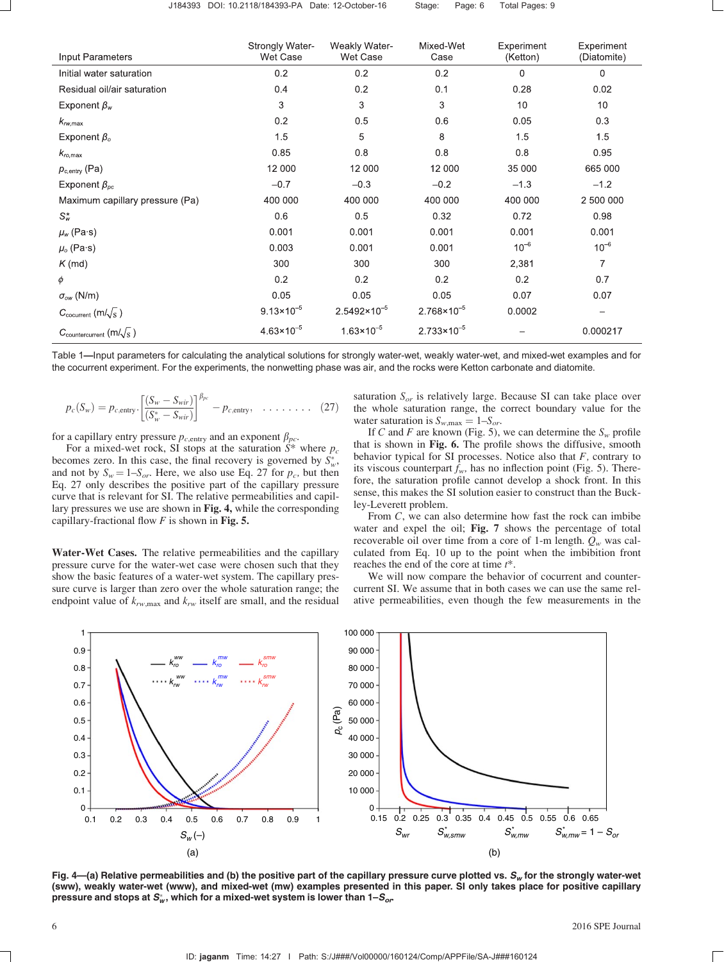| Input Parameters                             | Strongly Water-<br>Wet Case | Weakly Water-<br>Wet Case | Mixed-Wet<br>Case      | Experiment<br>(Ketton) | Experiment<br>(Diatomite) |
|----------------------------------------------|-----------------------------|---------------------------|------------------------|------------------------|---------------------------|
| Initial water saturation                     | 0.2                         | 0.2                       | 0.2                    | 0                      | 0                         |
| Residual oil/air saturation                  | 0.4                         | 0.2                       | 0.1                    | 0.28                   | 0.02                      |
| Exponent $\beta_w$                           | 3                           | 3                         | 3                      | 10                     | 10                        |
| $k_{rw, max}$                                | 0.2                         | 0.5                       | 0.6                    | 0.05                   | 0.3                       |
| Exponent $\beta_{\rm o}$                     | 1.5                         | 5                         | 8                      | 1.5                    | 1.5                       |
| $k_{\text{ro,max}}$                          | 0.85                        | 0.8                       | 0.8                    | 0.8                    | 0.95                      |
| $p_{c,$ entry (Pa)                           | 12 000                      | 12 000                    | 12 000                 | 35 000                 | 665 000                   |
| Exponent $\beta_{\text{nc}}$                 | $-0.7$                      | $-0.3$                    | $-0.2$                 | $-1.3$                 | $-1.2$                    |
| Maximum capillary pressure (Pa)              | 400 000                     | 400 000                   | 400 000                | 400 000                | 2 500 000                 |
| $S^*_{w}$                                    | 0.6                         | 0.5                       | 0.32                   | 0.72                   | 0.98                      |
| $\mu_{w}$ (Pa·s)                             | 0.001                       | 0.001                     | 0.001                  | 0.001                  | 0.001                     |
| $\mu$ <sub>o</sub> (Pa·s)                    | 0.003                       | 0.001                     | 0.001                  | $10^{-6}$              | $10^{-6}$                 |
| $K$ (md)                                     | 300                         | 300                       | 300                    | 2,381                  | 7                         |
| φ                                            | 0.2                         | 0.2                       | 0.2                    | 0.2                    | 0.7                       |
| $\sigma_{ow}$ (N/m)                          | 0.05                        | 0.05                      | 0.05                   | 0.07                   | 0.07                      |
| $C_{\text{cocurrent}}$ (m/ $\sqrt{s}$ )      | $9.13 \times 10^{-5}$       | $2.5492 \times 10^{-5}$   | $2.768 \times 10^{-5}$ | 0.0002                 |                           |
| $C_{\text{countercurrent}}$ (m/ $\sqrt{s}$ ) | $4.63 \times 10^{-5}$       | $1.63 \times 10^{-5}$     | $2.733 \times 10^{-5}$ |                        | 0.000217                  |

Table 1—Input parameters for calculating the analytical solutions for strongly water-wet, weakly water-wet, and mixed-wet examples and for the cocurrent experiment. For the experiments, the nonwetting phase was air, and the rocks were Ketton carbonate and diatomite.

$$
p_c(S_w) = p_{c, \text{entry}} \cdot \left[ \frac{(S_w - S_{wir})}{(S_w^* - S_{wir})} \right]^{\beta_{pc}} - p_{c, \text{entry}}, \quad \dots \quad (27)
$$

for a capillary entry pressure  $p_{c,$ entry and an exponent  $\beta_{pc}$ .

For a mixed-wet rock, SI stops at the saturation  $\overline{S^*}$  where  $p_c$ becomes zero. In this case, the final recovery is governed by  $S_w^*$ , and not by  $S_w = 1-S_{or}$ . Here, we also use Eq. 27 for  $p_c$ , but then Eq. 27 only describes the positive part of the capillary pressure curve that is relevant for SI. The relative permeabilities and capillary pressures we use are shown in Fig. 4, while the corresponding capillary-fractional flow  $F$  is shown in Fig. 5.

Water-Wet Cases. The relative permeabilities and the capillary pressure curve for the water-wet case were chosen such that they show the basic features of a water-wet system. The capillary pressure curve is larger than zero over the whole saturation range; the endpoint value of  $k_{rw, max}$  and  $k_{rw}$  itself are small, and the residual saturation  $S_{or}$  is relatively large. Because SI can take place over the whole saturation range, the correct boundary value for the water saturation is  $S_{w, \text{max}} = 1 - S_{or}$ .

If C and F are known (Fig. 5), we can determine the  $S_w$  profile that is shown in Fig. 6. The profile shows the diffusive, smooth behavior typical for SI processes. Notice also that  $F$ , contrary to its viscous counterpart  $f_w$ , has no inflection point (Fig. 5). Therefore, the saturation profile cannot develop a shock front. In this sense, this makes the SI solution easier to construct than the Buckley-Leverett problem.

From C, we can also determine how fast the rock can imbibe water and expel the oil; Fig. 7 shows the percentage of total recoverable oil over time from a core of 1-m length.  $Q_w$  was calculated from Eq. 10 up to the point when the imbibition front reaches the end of the core at time  $t^*$ .

We will now compare the behavior of cocurrent and countercurrent SI. We assume that in both cases we can use the same relative permeabilities, even though the few measurements in the



Fig.  $4-$ (a) Relative permeabilities and (b) the positive part of the capillary pressure curve plotted vs.  $S_w$  for the strongly water-wet (sww), weakly water-wet (www), and mixed-wet (mw) examples presented in this paper. SI only takes place for positive capillary pressure and stops at  $\bm S_{\sf w}^*$ , which for a mixed-wet system is lower than 1– $\bm S_{or}$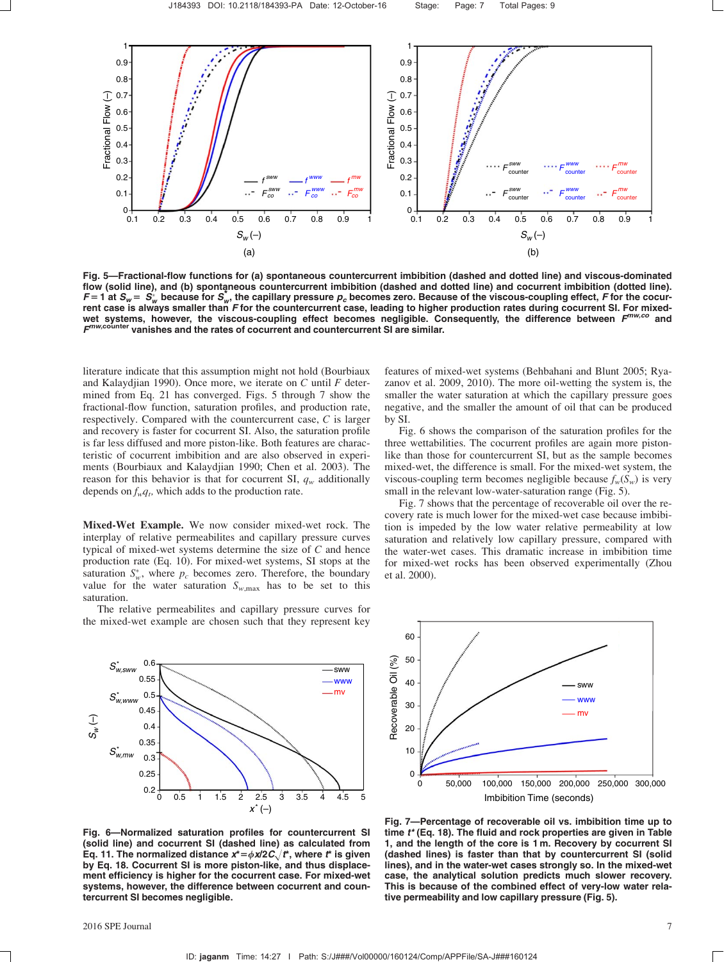

Fig. 5—Fractional-flow functions for (a) spontaneous countercurrent imbibition (dashed and dotted line) and viscous-dominated flow (solid line), and (b) spontaneous countercurrent imbibition (dashed and dotted line) and cocurrent imbibition (dotted line). F = 1 at  $S_w = S_w^*$  because for  $S_w^*$ , the capillary pressure  $p_c$  becomes zero. Because of the viscous-coupling effect, F for the cocurrent case is always smaller than F for the countercurrent case, leading to higher production rates during cocurrent SI. For mixedwet systems, however, the viscous-coupling effect becomes negligible. Consequently, the difference between  $F^{m\nu, co}$  and  $F^{mw,cointer}$  vanishes and the rates of cocurrent and countercurrent SI are similar.

literature indicate that this assumption might not hold (Bourbiaux and Kalaydjian 1990). Once more, we iterate on  $C$  until  $F$  determined from Eq. 21 has converged. Figs. 5 through 7 show the fractional-flow function, saturation profiles, and production rate, respectively. Compared with the countercurrent case, C is larger and recovery is faster for cocurrent SI. Also, the saturation profile is far less diffused and more piston-like. Both features are characteristic of cocurrent imbibition and are also observed in experiments (Bourbiaux and Kalaydjian 1990; Chen et al. 2003). The reason for this behavior is that for cocurrent SI,  $q_w$  additionally depends on  $f_w q_t$ , which adds to the production rate.

Mixed-Wet Example. We now consider mixed-wet rock. The interplay of relative permeabilites and capillary pressure curves typical of mixed-wet systems determine the size of C and hence production rate (Eq. 10). For mixed-wet systems, SI stops at the saturation  $S_w^*$ , where  $p_c$  becomes zero. Therefore, the boundary value for the water saturation  $S_{w, max}$  has to be set to this saturation.

The relative permeabilites and capillary pressure curves for the mixed-wet example are chosen such that they represent key features of mixed-wet systems (Behbahani and Blunt 2005; Ryazanov et al. 2009, 2010). The more oil-wetting the system is, the smaller the water saturation at which the capillary pressure goes negative, and the smaller the amount of oil that can be produced by SI.

Fig. 6 shows the comparison of the saturation profiles for the three wettabilities. The cocurrent profiles are again more pistonlike than those for countercurrent SI, but as the sample becomes mixed-wet, the difference is small. For the mixed-wet system, the viscous-coupling term becomes negligible because  $f_w(S_w)$  is very small in the relevant low-water-saturation range (Fig. 5).

Fig. 7 shows that the percentage of recoverable oil over the recovery rate is much lower for the mixed-wet case because imbibition is impeded by the low water relative permeability at low saturation and relatively low capillary pressure, compared with the water-wet cases. This dramatic increase in imbibition time for mixed-wet rocks has been observed experimentally (Zhou et al. 2000).



Fig. 6—Normalized saturation profiles for countercurrent SI (solid line) and cocurrent SI (dashed line) as calculated from Eq. 11. The normalized distance  $x^* = \phi x/2C \sqrt{t^*}$ , where  $t^*$  is given by Eq. 18. Cocurrent SI is more piston-like, and thus displacement efficiency is higher for the cocurrent case. For mixed-wet systems, however, the difference between cocurrent and countercurrent SI becomes negligible.



Fig. 7—Percentage of recoverable oil vs. imbibition time up to time  $t^*$  (Eq. 18). The fluid and rock properties are given in Table 1, and the length of the core is 1 m. Recovery by cocurrent SI (dashed lines) is faster than that by countercurrent SI (solid lines), and in the water-wet cases strongly so. In the mixed-wet case, the analytical solution predicts much slower recovery. This is because of the combined effect of very-low water relative permeability and low capillary pressure (Fig. 5).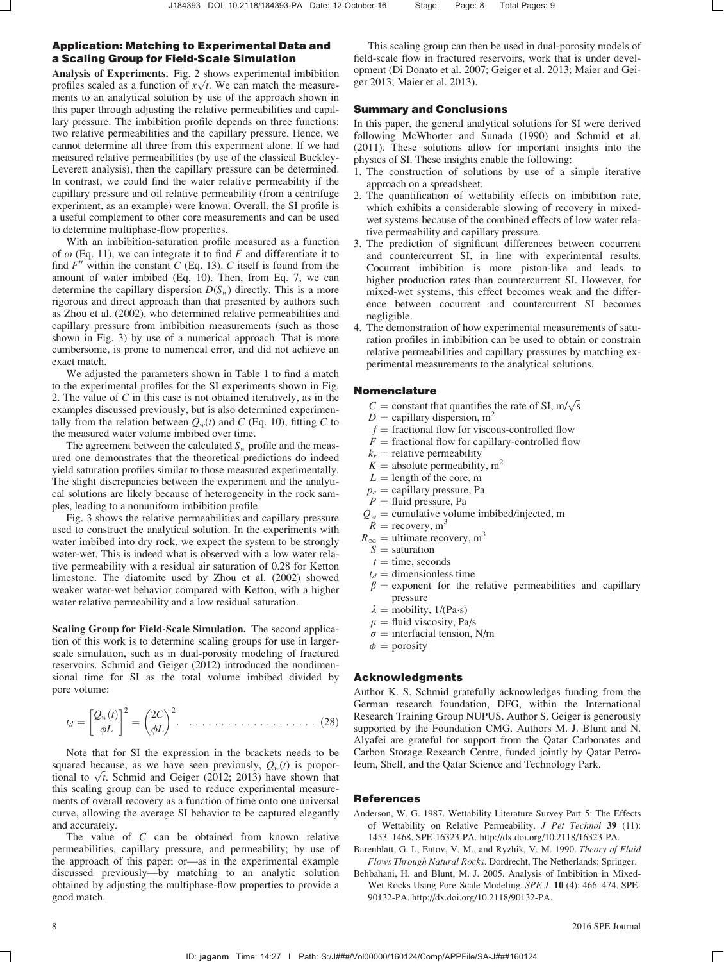# Application: Matching to Experimental Data and a Scaling Group for Field-Scale Simulation

Analysis of Experiments. Fig. 2 shows experimental imbibition **Analysis of Experiments.** Fig. 2 shows experimental imbibition profiles scaled as a function of  $x\sqrt{t}$ . We can match the measurements to an analytical solution by use of the approach shown in this paper through adjusting the relative permeabilities and capillary pressure. The imbibition profile depends on three functions: two relative permeabilities and the capillary pressure. Hence, we cannot determine all three from this experiment alone. If we had measured relative permeabilities (by use of the classical Buckley-Leverett analysis), then the capillary pressure can be determined. In contrast, we could find the water relative permeability if the capillary pressure and oil relative permeability (from a centrifuge experiment, as an example) were known. Overall, the SI profile is a useful complement to other core measurements and can be used to determine multiphase-flow properties.

With an imbibition-saturation profile measured as a function of  $\omega$  (Eq. 11), we can integrate it to find F and differentiate it to find  $F''$  within the constant C (Eq. 13). C itself is found from the amount of water imbibed (Eq. 10). Then, from Eq. 7, we can determine the capillary dispersion  $D(S_w)$  directly. This is a more rigorous and direct approach than that presented by authors such as Zhou et al. (2002), who determined relative permeabilities and capillary pressure from imbibition measurements (such as those shown in Fig. 3) by use of a numerical approach. That is more cumbersome, is prone to numerical error, and did not achieve an exact match.

We adjusted the parameters shown in Table 1 to find a match to the experimental profiles for the SI experiments shown in Fig. 2. The value of C in this case is not obtained iteratively, as in the examples discussed previously, but is also determined experimentally from the relation between  $Q_w(t)$  and C (Eq. 10), fitting C to the measured water volume imbibed over time.

The agreement between the calculated  $S_w$  profile and the measured one demonstrates that the theoretical predictions do indeed yield saturation profiles similar to those measured experimentally. The slight discrepancies between the experiment and the analytical solutions are likely because of heterogeneity in the rock samples, leading to a nonuniform imbibition profile.

Fig. 3 shows the relative permeabilities and capillary pressure used to construct the analytical solution. In the experiments with water imbibed into dry rock, we expect the system to be strongly water-wet. This is indeed what is observed with a low water relative permeability with a residual air saturation of 0.28 for Ketton limestone. The diatomite used by Zhou et al. (2002) showed weaker water-wet behavior compared with Ketton, with a higher water relative permeability and a low residual saturation.

Scaling Group for Field-Scale Simulation. The second application of this work is to determine scaling groups for use in largerscale simulation, such as in dual-porosity modeling of fractured reservoirs. Schmid and Geiger (2012) introduced the nondimensional time for SI as the total volume imbibed divided by pore volume:

$$
t_d = \left[\frac{Q_w(t)}{\phi L}\right]^2 = \left(\frac{2C}{\phi L}\right)^2. \quad \dots \quad \dots \quad \dots \quad \dots \quad (28)
$$

Note that for SI the expression in the brackets needs to be squared because, as we have seen previously,  $Q_w(t)$  is proporsquared because, as we have seen previously,  $Q_w(t)$  is proportional to  $\sqrt{t}$ . Schmid and Geiger (2012; 2013) have shown that this scaling group can be used to reduce experimental measurements of overall recovery as a function of time onto one universal curve, allowing the average SI behavior to be captured elegantly and accurately.

The value of C can be obtained from known relative permeabilities, capillary pressure, and permeability; by use of the approach of this paper; or—as in the experimental example discussed previously—by matching to an analytic solution obtained by adjusting the multiphase-flow properties to provide a good match.

This scaling group can then be used in dual-porosity models of field-scale flow in fractured reservoirs, work that is under development (Di Donato et al. 2007; Geiger et al. 2013; Maier and Geiger 2013; Maier et al. 2013).

# Summary and Conclusions

In this paper, the general analytical solutions for SI were derived following McWhorter and Sunada (1990) and Schmid et al. (2011). These solutions allow for important insights into the physics of SI. These insights enable the following:

- 1. The construction of solutions by use of a simple iterative approach on a spreadsheet.
- 2. The quantification of wettability effects on imbibition rate, which exhibits a considerable slowing of recovery in mixedwet systems because of the combined effects of low water relative permeability and capillary pressure.
- 3. The prediction of significant differences between cocurrent and countercurrent SI, in line with experimental results. Cocurrent imbibition is more piston-like and leads to higher production rates than countercurrent SI. However, for mixed-wet systems, this effect becomes weak and the difference between cocurrent and countercurrent SI becomes negligible.
- 4. The demonstration of how experimental measurements of saturation profiles in imbibition can be used to obtain or constrain relative permeabilities and capillary pressures by matching experimental measurements to the analytical solutions.

# Nomenclature

- $C =$  constant that quantifies the rate of SI, m/ $\sqrt{s}$
- $D =$  capillary dispersion, m<sup>2</sup>
- $f$  = fractional flow for viscous-controlled flow
- $\overline{F}$  = fractional flow for capillary-controlled flow
- $k_r$  = relative permeability
- $K =$  absolute permeability,  $m<sup>2</sup>$
- $L =$  length of the core, m
- $p_c$  = capillary pressure, Pa
- $P =$  fluid pressure, Pa
- $Q_w$  = cumulative volume imbibed/injected, m
- $R =$  recovery, m<sup>3</sup>
- $R_{\infty} =$  ultimate recovery, m<sup>3</sup>
- $S =$  saturation
- $t =$  time, seconds
- $t_d$  = dimensionless time
- $\beta$  = exponent for the relative permeabilities and capillary pressure
- $\lambda$  = mobility, 1/(Pa·s)
- $\mu$  = fluid viscosity, Pa/s
- $\sigma$  = interfacial tension, N/m
- $\phi$  = porosity

### Acknowledgments

Author K. S. Schmid gratefully acknowledges funding from the German research foundation, DFG, within the International Research Training Group NUPUS. Author S. Geiger is generously supported by the Foundation CMG. Authors M. J. Blunt and N. Alyafei are grateful for support from the Qatar Carbonates and Carbon Storage Research Centre, funded jointly by Qatar Petroleum, Shell, and the Qatar Science and Technology Park.

## References

- Anderson, W. G. 1987. Wettability Literature Survey Part 5: The Effects of Wettability on Relative Permeability. J Pet Technol 39 (11): 1453–1468. SPE-16323-PA. [http://dx.doi.org/10.2118/16323-PA.](http://dx.doi.org/10.2118/16323-PA)
- Barenblatt, G. I., Entov, V. M., and Ryzhik, V. M. 1990. Theory of Fluid Flows Through Natural Rocks. Dordrecht, The Netherlands: Springer.
- Behbahani, H. and Blunt, M. J. 2005. Analysis of Imbibition in Mixed-Wet Rocks Using Pore-Scale Modeling. SPE J. 10 (4): 466–474. SPE-90132-PA. [http://dx.doi.org/10.2118/90132-PA.](http://dx.doi.org/10.2118/90132-PA)